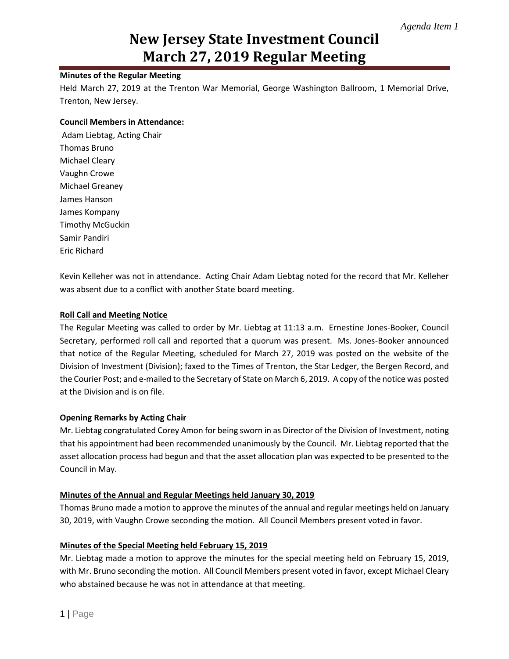# **New Jersey State Investment Council March 27, 2019 Regular Meeting**

## **Minutes of the Regular Meeting**

Held March 27, 2019 at the Trenton War Memorial, George Washington Ballroom, 1 Memorial Drive, Trenton, New Jersey.

#### **Council Members in Attendance:**

Adam Liebtag, Acting Chair Thomas Bruno Michael Cleary Vaughn Crowe Michael Greaney James Hanson James Kompany Timothy McGuckin Samir Pandiri Eric Richard

Kevin Kelleher was not in attendance. Acting Chair Adam Liebtag noted for the record that Mr. Kelleher was absent due to a conflict with another State board meeting.

#### **Roll Call and Meeting Notice**

The Regular Meeting was called to order by Mr. Liebtag at 11:13 a.m. Ernestine Jones-Booker, Council Secretary, performed roll call and reported that a quorum was present. Ms. Jones-Booker announced that notice of the Regular Meeting, scheduled for March 27, 2019 was posted on the website of the Division of Investment (Division); faxed to the Times of Trenton, the Star Ledger, the Bergen Record, and the Courier Post; and e-mailed to the Secretary of State on March 6, 2019. A copy of the notice was posted at the Division and is on file.

## **Opening Remarks by Acting Chair**

Mr. Liebtag congratulated Corey Amon for being sworn in as Director of the Division of Investment, noting that his appointment had been recommended unanimously by the Council. Mr. Liebtag reported that the asset allocation process had begun and that the asset allocation plan was expected to be presented to the Council in May.

#### **Minutes of the Annual and Regular Meetings held January 30, 2019**

Thomas Bruno made a motion to approve the minutes of the annual and regular meetings held on January 30, 2019, with Vaughn Crowe seconding the motion. All Council Members present voted in favor.

## **Minutes of the Special Meeting held February 15, 2019**

Mr. Liebtag made a motion to approve the minutes for the special meeting held on February 15, 2019, with Mr. Bruno seconding the motion. All Council Members present voted in favor, except Michael Cleary who abstained because he was not in attendance at that meeting.